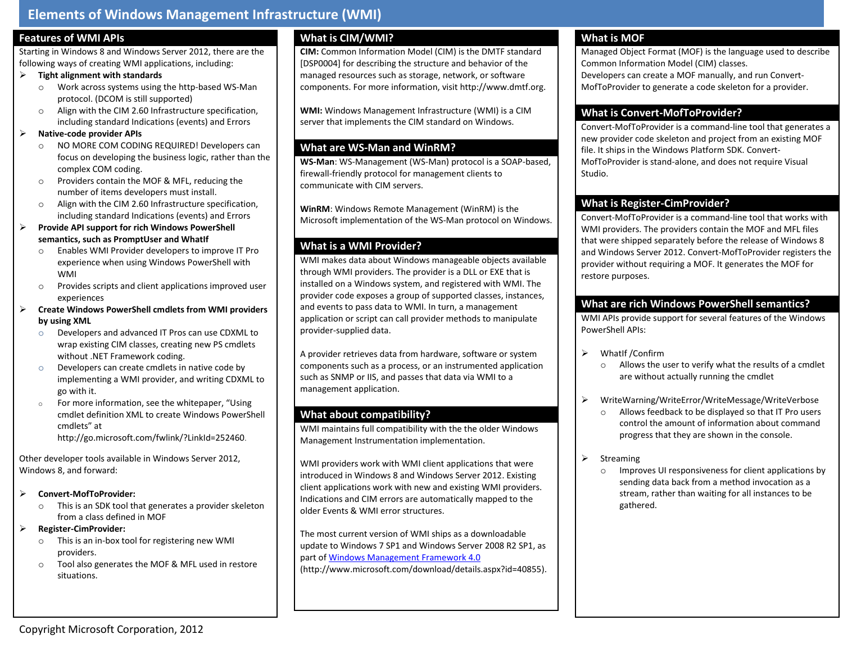# **Elements of Windows Management Infrastructure (WMI)**

### **Features of WMI APIs**

Starting in Windows 8 and Windows Server 2012, there are the following ways of creating WMI applications, including:

#### **Tight alignment with standards**

- o Work across systems using the http-based WS-Man protocol. (DCOM is still supported)
- o Align with the CIM 2.60 Infrastructure specification, including standard Indications (events) and Errors

#### **Native-code provider APIs**

- o NO MORE COM CODING REQUIRED! Developers can focus on developing the business logic, rather than the complex COM coding.
- o Providers contain the MOF & MFL, reducing the number of items developers must install.
- o Align with the CIM 2.60 Infrastructure specification, including standard Indications (events) and Errors
- **Provide API support for rich Windows PowerShell semantics, such as PromptUser and WhatIf** 
	- o Enables WMI Provider developers to improve IT Pro experience when using Windows PowerShell with WMI
	- o Provides scripts and client applications improved user experiences
- **Create Windows PowerShell cmdlets from WMI providers by using XML**
	- o Developers and advanced IT Pros can use CDXML to wrap existing CIM classes, creating new PS cmdlets without .NET Framework coding.
	- o Developers can create cmdlets in native code by implementing a WMI provider, and writing CDXML to go with it.
	- o For more information, see the whitepaper, "Using cmdlet definition XML to create Windows PowerShell cmdlets" at

<http://go.microsoft.com/fwlink/?LinkId=252460>.

Other developer tools available in Windows Server 2012, Windows 8, and forward:

## **Convert-MofToProvider:**

- o This is an SDK tool that generates a provider skeleton from a class defined in MOF
- **Register-CimProvider:**
	- o This is an in-box tool for registering new WMI providers.
	- o Tool also generates the MOF & MFL used in restore situations.

# **What is CIM/WMI?**

**CIM:** Common Information Model (CIM) is the DMTF standard [DSP0004] for describing the structure and behavior of the managed resources such as storage, network, or software components. For more information, visit http://www.dmtf.org.

**WMI:** Windows Management Infrastructure (WMI) is a CIM server that implements the CIM standard on Windows.

# **What are WS-Man and WinRM?**

**WS-Man**: WS-Management (WS-Man) protocol is a SOAP-based, firewall-friendly protocol for management clients to communicate with CIM servers.

**WinRM**: Windows Remote Management (WinRM) is the Microsoft implementation of the WS-Man protocol on Windows.

# **What is a WMI Provider?**

WMI makes data about Windows manageable objects available through WMI providers. The provider is a DLL or EXE that is installed on a Windows system, and registered with WMI. The provider code exposes a group of supported classes, instances, and events to pass data to WMI. In turn, a management application or script can call provider methods to manipulate provider-supplied data.

A provider retrieves data from hardware, software or system components such as a process, or an instrumented application such as SNMP or IIS, and passes that data via WMI to a management application.

## **What about compatibility?**

WMI maintains full compatibility with the the older Windows Management Instrumentation implementation.

WMI providers work with WMI client applications that were introduced in Windows 8 and Windows Server 2012. Existing client applications work with new and existing WMI providers. Indications and CIM errors are automatically mapped to the older Events & WMI error structures.

The most current version of WMI ships as a downloadable update to Windows 7 SP1 and Windows Server 2008 R2 SP1, as part of [Windows Management Framework 4.0](http://www.microsoft.com/download/details.aspx?id=40855) (http://www.microsoft.com/download/details.aspx?id=40855).

## **What is MOF**

Managed Object Format (MOF) is the language used to describe Common Information Model (CIM) classes. Developers can create a MOF manually, and run Convert-MofToProvider to generate a code skeleton for a provider.

### **What is Convert-MofToProvider?**

Convert-MofToProvider is a command-line tool that generates a new provider code skeleton and project from an existing MOF file. It ships in the Windows Platform SDK. Convert-MofToProvider is stand-alone, and does not require Visual Studio.

# **What is Register-CimProvider?**

Convert-MofToProvider is a command-line tool that works with WMI providers. The providers contain the MOF and MFL files that were shipped separately before the release of Windows 8 and Windows Server 2012. Convert-MofToProvider registers the provider without requiring a MOF. It generates the MOF for restore purposes.

### **What are rich Windows PowerShell semantics?**

WMI APIs provide support for several features of the Windows PowerShell APIs:

- WhatIf /Confirm
	- o Allows the user to verify what the results of a cmdlet are without actually running the cmdlet
- WriteWarning/WriteError/WriteMessage/WriteVerbose
	- o Allows feedback to be displayed so that IT Pro users control the amount of information about command progress that they are shown in the console.
- $\triangleright$  Streaming
	- o Improves UI responsiveness for client applications by sending data back from a method invocation as a stream, rather than waiting for all instances to be gathered.